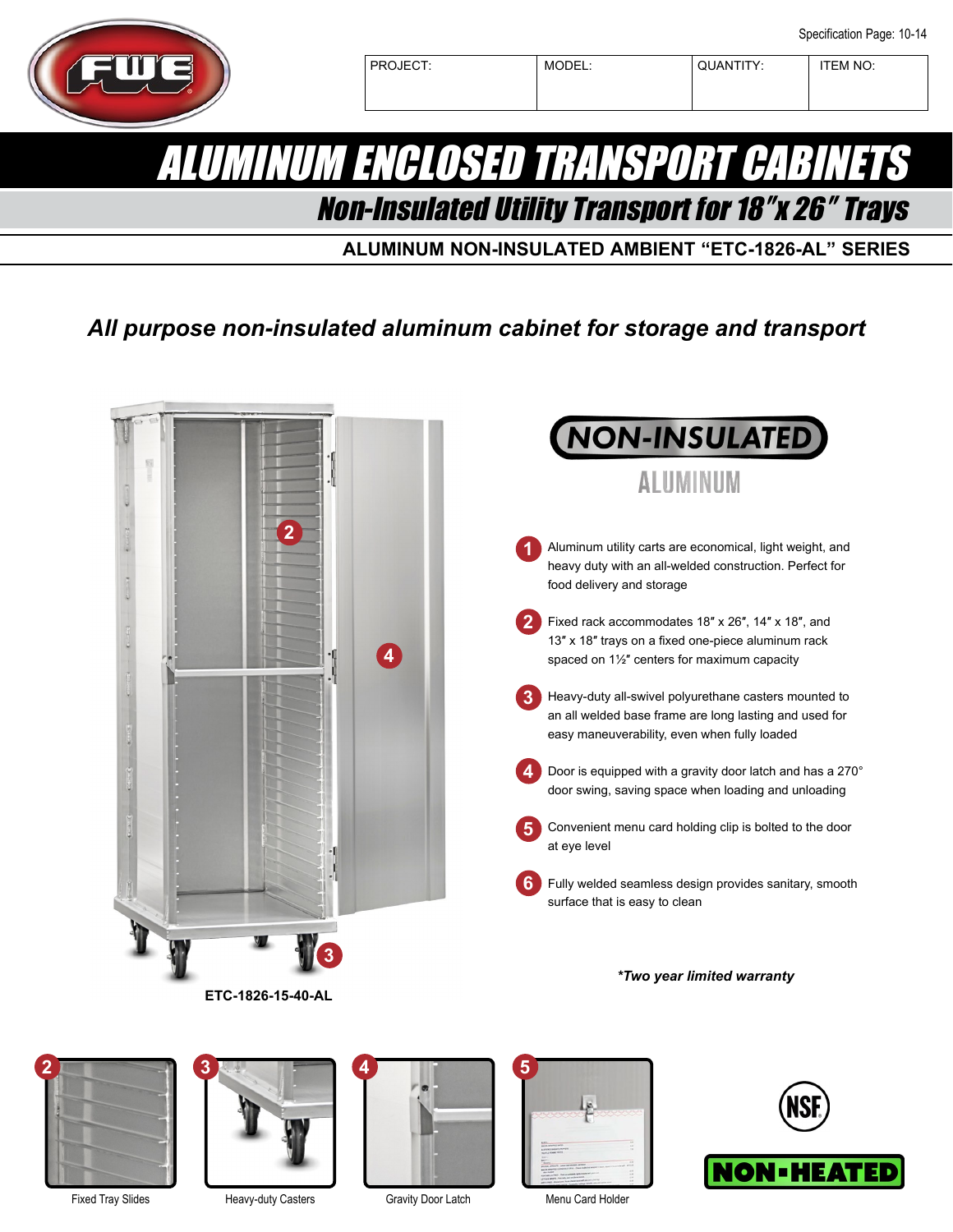

# ALUMINUM ENCLOSED TRANSPORT CABINETS Non-Insulated Utility Transport for 18″x 26″ Trays

**ALUMINUM NON-INSULATED AMBIENT "ETC-1826-AL" SERIES**

# *All purpose non-insulated aluminum cabinet for storage and transport*







Fixed Tray Slides **Heavy-duty Casters** Gravity Door Latch Menu Card Holder